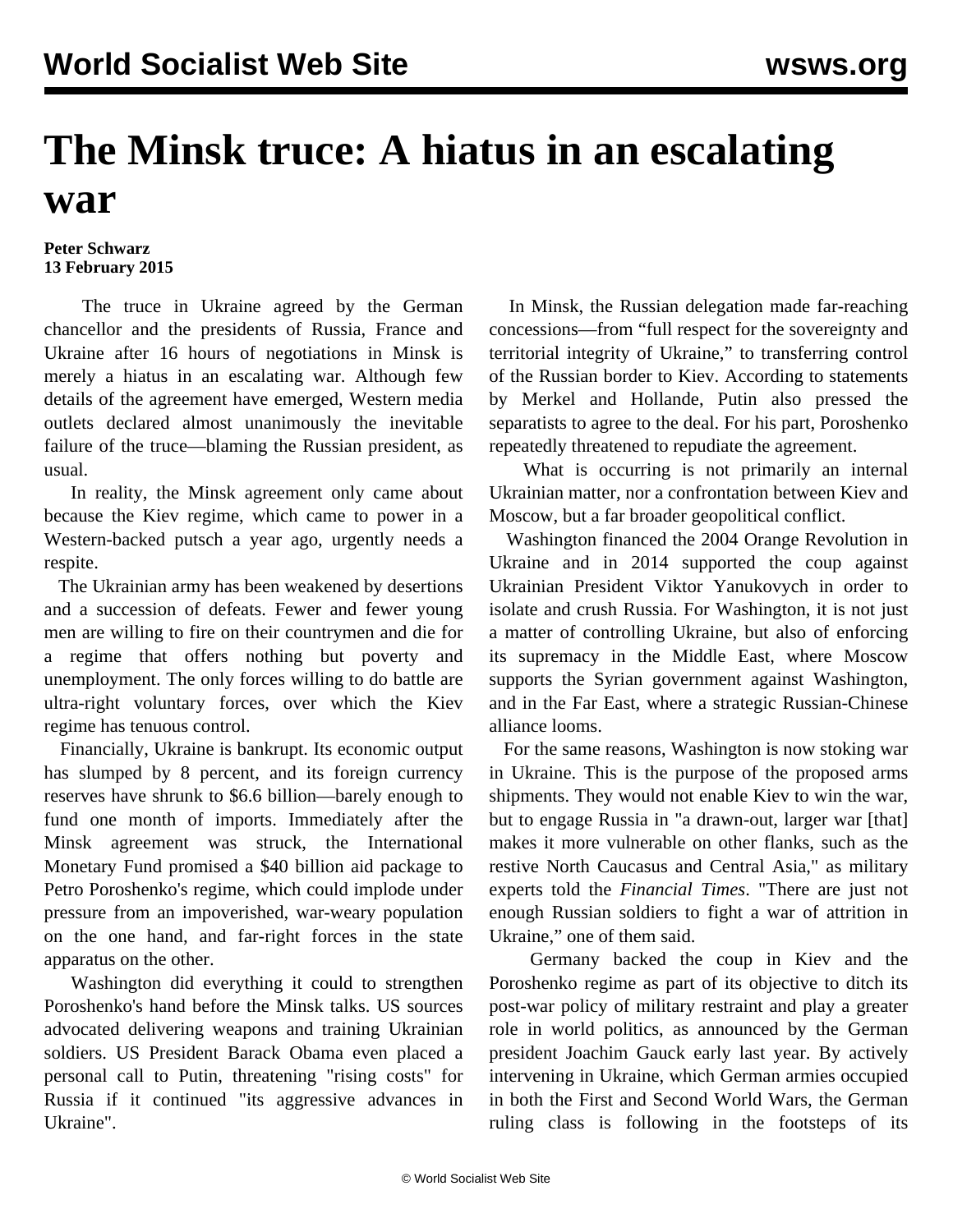## **The Minsk truce: A hiatus in an escalating war**

## **Peter Schwarz 13 February 2015**

 The truce in Ukraine agreed by the German chancellor and the presidents of Russia, France and Ukraine after 16 hours of negotiations in Minsk is merely a hiatus in an escalating war. Although few details of the agreement have emerged, Western media outlets declared almost unanimously the inevitable failure of the truce—blaming the Russian president, as usual.

 In reality, the Minsk agreement only came about because the Kiev regime, which came to power in a Western-backed putsch a year ago, urgently needs a respite.

 The Ukrainian army has been weakened by desertions and a succession of defeats. Fewer and fewer young men are willing to fire on their countrymen and die for a regime that offers nothing but poverty and unemployment. The only forces willing to do battle are ultra-right voluntary forces, over which the Kiev regime has tenuous control.

 Financially, Ukraine is bankrupt. Its economic output has slumped by 8 percent, and its foreign currency reserves have shrunk to \$6.6 billion—barely enough to fund one month of imports. Immediately after the Minsk agreement was struck, the International Monetary Fund promised a \$40 billion aid package to Petro Poroshenko's regime, which could implode under pressure from an impoverished, war-weary population on the one hand, and far-right forces in the state apparatus on the other.

 Washington did everything it could to strengthen Poroshenko's hand before the Minsk talks. US sources advocated delivering weapons and training Ukrainian soldiers. US President Barack Obama even placed a personal call to Putin, threatening "rising costs" for Russia if it continued "its aggressive advances in Ukraine".

 In Minsk, the Russian delegation made far-reaching concessions—from "full respect for the sovereignty and territorial integrity of Ukraine," to transferring control of the Russian border to Kiev. According to statements by Merkel and Hollande, Putin also pressed the separatists to agree to the deal. For his part, Poroshenko repeatedly threatened to repudiate the agreement.

 What is occurring is not primarily an internal Ukrainian matter, nor a confrontation between Kiev and Moscow, but a far broader geopolitical conflict.

 Washington financed the 2004 Orange Revolution in Ukraine and in 2014 supported the coup against Ukrainian President Viktor Yanukovych in order to isolate and crush Russia. For Washington, it is not just a matter of controlling Ukraine, but also of enforcing its supremacy in the Middle East, where Moscow supports the Syrian government against Washington, and in the Far East, where a strategic Russian-Chinese alliance looms.

 For the same reasons, Washington is now stoking war in Ukraine. This is the purpose of the proposed arms shipments. They would not enable Kiev to win the war, but to engage Russia in "a drawn-out, larger war [that] makes it more vulnerable on other flanks, such as the restive North Caucasus and Central Asia," as military experts told the *Financial Times*. "There are just not enough Russian soldiers to fight a war of attrition in Ukraine," one of them said.

 Germany backed the coup in Kiev and the Poroshenko regime as part of its objective to ditch its post-war policy of military restraint and play a greater role in world politics, as announced by the German president Joachim Gauck early last year. By actively intervening in Ukraine, which German armies occupied in both the First and Second World Wars, the German ruling class is following in the footsteps of its